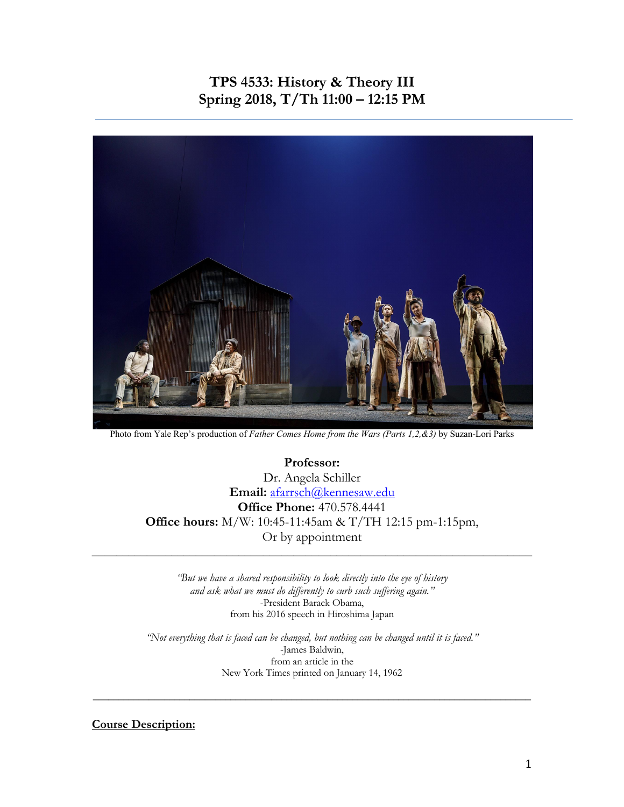# **TPS 4533: History & Theory III Spring 2018, T/Th 11:00 – 12:15 PM**



Photo from Yale Rep's production of *Father Comes Home from the Wars (Parts 1,2,&3)* by Suzan-Lori Parks

**Professor:**  Dr. Angela Schiller **Email:** afarrsch@kennesaw.edu **Office Phone:** 470.578.4441 **Office hours:** M/W: 10:45-11:45am & T/TH 12:15 pm-1:15pm, Or by appointment \_\_\_\_\_\_\_\_\_\_\_\_\_\_\_\_\_\_\_\_\_\_\_\_\_\_\_\_\_\_\_\_\_\_\_\_\_\_\_\_\_\_\_\_\_\_\_\_\_\_\_\_\_\_\_\_\_\_\_\_\_\_\_\_\_\_\_\_\_\_\_\_

> *"But we have a shared responsibility to look directly into the eye of history and ask what we must do differently to curb such suffering again."* -President Barack Obama, from his 2016 speech in Hiroshima Japan

*"Not everything that is faced can be changed, but nothing can be changed until it is faced."* -James Baldwin, from an article in the New York Times printed on January 14, 1962

\_\_\_\_\_\_\_\_\_\_\_\_\_\_\_\_\_\_\_\_\_\_\_\_\_\_\_\_\_\_\_\_\_\_\_\_\_\_\_\_\_\_\_\_\_\_\_\_\_\_\_\_\_\_\_\_\_\_\_\_\_\_\_\_\_\_\_\_\_\_\_\_\_\_\_\_\_\_\_\_\_\_\_\_\_\_

**Course Description:**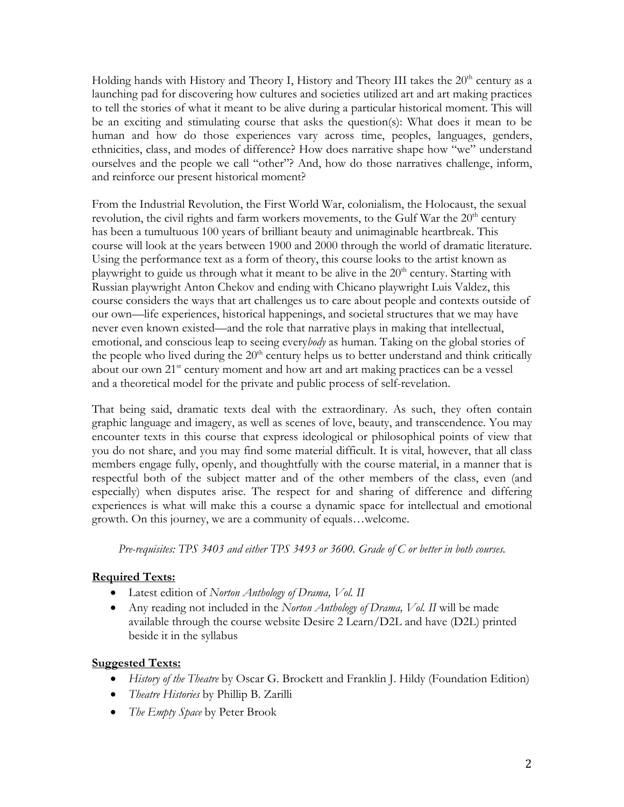Holding hands with History and Theory I, History and Theory III takes the  $20<sup>th</sup>$  century as a launching pad for discovering how cultures and societies utilized art and art making practices to tell the stories of what it meant to be alive during a particular historical moment. This will be an exciting and stimulating course that asks the question(s): What does it mean to be human and how do those experiences vary across time, peoples, languages, genders, ethnicities, class, and modes of difference? How does narrative shape how "we" understand ourselves and the people we call "other"? And, how do those narratives challenge, inform, and reinforce our present historical moment?

From the Industrial Revolution, the First World War, colonialism, the Holocaust, the sexual revolution, the civil rights and farm workers movements, to the Gulf War the  $20<sup>th</sup>$  century has been a tumultuous 100 years of brilliant beauty and unimaginable heartbreak. This course will look at the years between 1900 and 2000 through the world of dramatic literature. Using the performance text as a form of theory, this course looks to the artist known as playwright to guide us through what it meant to be alive in the  $20<sup>th</sup>$  century. Starting with Russian playwright Anton Chekov and ending with Chicano playwright Luis Valdez, this course considers the ways that art challenges us to care about people and contexts outside of our own—life experiences, historical happenings, and societal structures that we may have never even known existed—and the role that narrative plays in making that intellectual, emotional, and conscious leap to seeing every*body* as human. Taking on the global stories of the people who lived during the  $20<sup>th</sup>$  century helps us to better understand and think critically about our own 21<sup>st</sup> century moment and how art and art making practices can be a vessel and a theoretical model for the private and public process of self-revelation.

That being said, dramatic texts deal with the extraordinary. As such, they often contain graphic language and imagery, as well as scenes of love, beauty, and transcendence. You may encounter texts in this course that express ideological or philosophical points of view that you do not share, and you may find some material difficult. It is vital, however, that all class members engage fully, openly, and thoughtfully with the course material, in a manner that is respectful both of the subject matter and of the other members of the class, even (and especially) when disputes arise. The respect for and sharing of difference and differing experiences is what will make this a course a dynamic space for intellectual and emotional growth. On this journey, we are a community of equals…welcome.

*Pre-requisites: TPS 3403 and either TPS 3493 or 3600. Grade of C or better in both courses.*

### **Required Texts:**

- Latest edition of *Norton Anthology of Drama, Vol. II*
- Any reading not included in the *Norton Anthology of Drama, Vol. II* will be made available through the course website Desire 2 Learn/D2L and have (D2L) printed beside it in the syllabus

### **Suggested Texts:**

- *History of the Theatre* by Oscar G. Brockett and Franklin J. Hildy (Foundation Edition)
- *Theatre Histories* by Phillip B. Zarilli
- *The Empty Space* by Peter Brook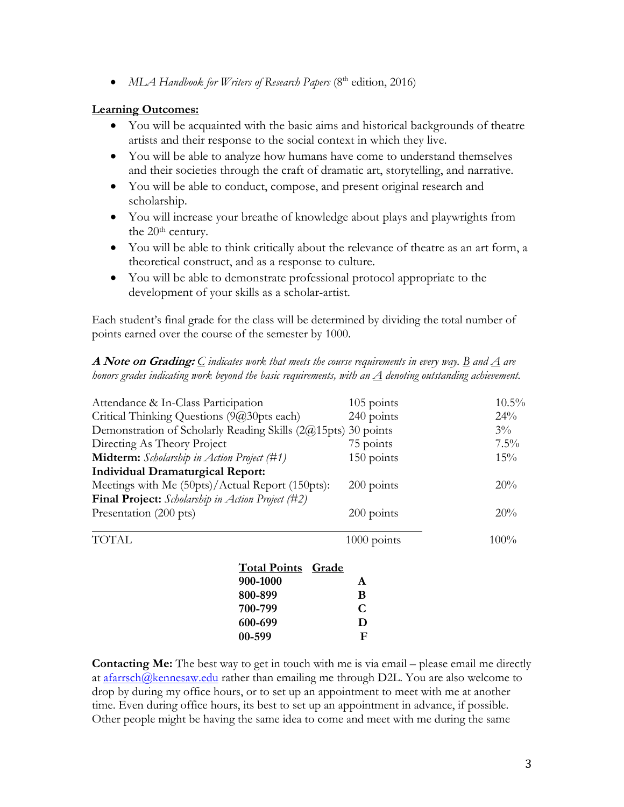• *MLA Handbook for Writers of Research Papers* (8<sup>th</sup> edition, 2016)

### **Learning Outcomes:**

- You will be acquainted with the basic aims and historical backgrounds of theatre artists and their response to the social context in which they live.
- You will be able to analyze how humans have come to understand themselves and their societies through the craft of dramatic art, storytelling, and narrative.
- You will be able to conduct, compose, and present original research and scholarship.
- You will increase your breathe of knowledge about plays and playwrights from the 20<sup>th</sup> century.
- You will be able to think critically about the relevance of theatre as an art form, a theoretical construct, and as a response to culture.
- You will be able to demonstrate professional protocol appropriate to the development of your skills as a scholar-artist.

Each student's final grade for the class will be determined by dividing the total number of points earned over the course of the semester by 1000.

**A Note on Grading:** *C indicates work that meets the course requirements in every way. B and A are honors grades indicating work beyond the basic requirements, with an A denoting outstanding achievement.*

| Attendance & In-Class Participation                                                                                                                                                                |                                     | 105 points                                       | $10.5\%$                |                                         |     |
|----------------------------------------------------------------------------------------------------------------------------------------------------------------------------------------------------|-------------------------------------|--------------------------------------------------|-------------------------|-----------------------------------------|-----|
| Critical Thinking Questions (9@30pts each)<br>Demonstration of Scholarly Reading Skills $(2@15pts)$ 30 points<br>Directing As Theory Project<br><b>Midterm:</b> Scholarship in Action Project (#1) |                                     | 240 points<br>75 points                          | 24%<br>$3\%$<br>$7.5\%$ |                                         |     |
|                                                                                                                                                                                                    |                                     |                                                  |                         | 150 points                              | 15% |
|                                                                                                                                                                                                    |                                     |                                                  |                         | <b>Individual Dramaturgical Report:</b> |     |
|                                                                                                                                                                                                    |                                     | Meetings with Me (50pts)/Actual Report (150pts): |                         | 200 points                              | 20% |
| <b>Final Project:</b> Scholarship in Action Project (#2)                                                                                                                                           |                                     |                                                  |                         |                                         |     |
| Presentation (200 pts)                                                                                                                                                                             |                                     | $200$ points                                     | 20%                     |                                         |     |
| <b>TOTAL</b>                                                                                                                                                                                       |                                     | 1000 points                                      | 100%                    |                                         |     |
|                                                                                                                                                                                                    | <b>Total Points</b><br><b>Grade</b> |                                                  |                         |                                         |     |
|                                                                                                                                                                                                    | 900-1000                            | A                                                |                         |                                         |     |
|                                                                                                                                                                                                    | 800-899                             | B                                                |                         |                                         |     |
|                                                                                                                                                                                                    | 700-799                             | C                                                |                         |                                         |     |
|                                                                                                                                                                                                    | 600-699                             | D                                                |                         |                                         |     |
|                                                                                                                                                                                                    | 00-599                              | F                                                |                         |                                         |     |

**Contacting Me:** The best way to get in touch with me is via email – please email me directly at  $a$ farrsch $@$ kennesaw.edu rather than emailing me through D2L. You are also welcome to drop by during my office hours, or to set up an appointment to meet with me at another time. Even during office hours, its best to set up an appointment in advance, if possible. Other people might be having the same idea to come and meet with me during the same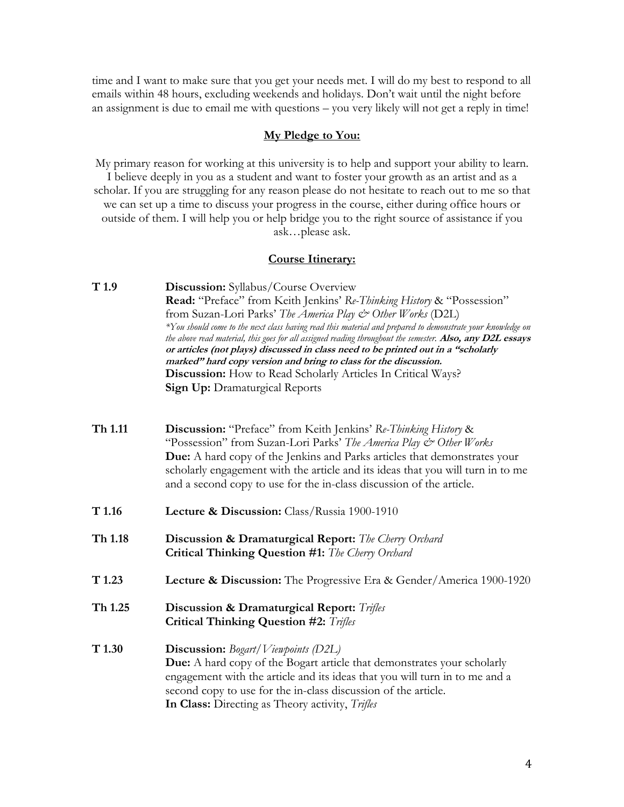time and I want to make sure that you get your needs met. I will do my best to respond to all emails within 48 hours, excluding weekends and holidays. Don't wait until the night before an assignment is due to email me with questions – you very likely will not get a reply in time!

#### **My Pledge to You:**

My primary reason for working at this university is to help and support your ability to learn. I believe deeply in you as a student and want to foster your growth as an artist and as a scholar. If you are struggling for any reason please do not hesitate to reach out to me so that we can set up a time to discuss your progress in the course, either during office hours or outside of them. I will help you or help bridge you to the right source of assistance if you ask…please ask.

#### **Course Itinerary:**

- **T 1.9 Discussion:** Syllabus/Course Overview **Read:** "Preface" from Keith Jenkins' *Re-Thinking History* & "Possession" from Suzan-Lori Parks' *The America Play & Other Works* (D2L) *\*You should come to the next class having read this material and prepared to demonstrate your knowledge on the above read material, this goes for all assigned reading throughout the semester.* **Also, any D2L essays or articles (not plays) discussed in class need to be printed out in a "scholarly marked" hard copy version and bring to class for the discussion. Discussion:** How to Read Scholarly Articles In Critical Ways? **Sign Up: Dramaturgical Reports**
- **Th 1.11 Discussion:** "Preface" from Keith Jenkins' *Re-Thinking History* & "Possession" from Suzan-Lori Parks' *The America Play & Other Works* **Due:** A hard copy of the Jenkins and Parks articles that demonstrates your scholarly engagement with the article and its ideas that you will turn in to me and a second copy to use for the in-class discussion of the article.
- **T 1.16 Lecture & Discussion:** Class/Russia 1900-1910
- **Th 1.18 Discussion & Dramaturgical Report:** *The Cherry Orchard*  **Critical Thinking Question #1:** *The Cherry Orchard*
- **T 1.23 Lecture & Discussion:** The Progressive Era & Gender/America 1900-1920
- **Th 1.25 Discussion & Dramaturgical Report:** *Trifles* **Critical Thinking Question #2:** *Trifles*
- **T 1.30 Discussion:** *Bogart/Viewpoints (D2L)* **Due:** A hard copy of the Bogart article that demonstrates your scholarly engagement with the article and its ideas that you will turn in to me and a second copy to use for the in-class discussion of the article. **In Class:** Directing as Theory activity, *Trifles*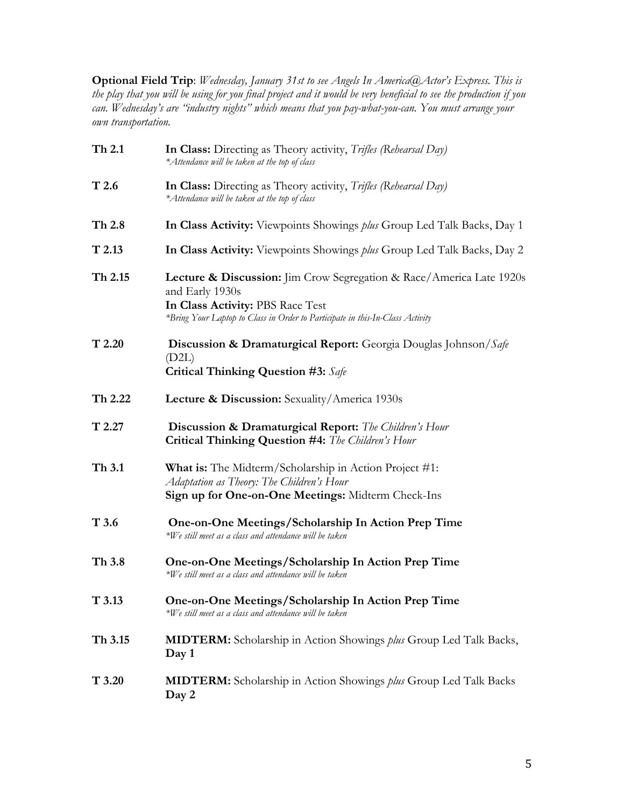**Optional Field Trip**: *Wednesday, January 31st to see Angels In America@Actor's Express. This is the play that you will be using for you final project and it would be very beneficial to see the production if you can. Wednesday's are "industry nights" which means that you pay-what-you-can. You must arrange your own transportation.*

| Th 2.1           | In Class: Directing as Theory activity, <i>Trifles (Rehearsal Day)</i><br>*Attendance will be taken at the top of class                                                                                                 |
|------------------|-------------------------------------------------------------------------------------------------------------------------------------------------------------------------------------------------------------------------|
| T <sub>2.6</sub> | <b>In Class:</b> Directing as Theory activity, <i>Trifles (Rehearsal Day)</i><br>*Attendance will be taken at the top of class                                                                                          |
| Th 2.8           | In Class Activity: Viewpoints Showings <i>plus</i> Group Led Talk Backs, Day 1                                                                                                                                          |
| $T$ 2.13         | In Class Activity: Viewpoints Showings <i>plus</i> Group Led Talk Backs, Day 2                                                                                                                                          |
| Th 2.15          | <b>Lecture &amp; Discussion:</b> Jim Crow Segregation & Race/America Late 1920s<br>and Early 1930s<br>In Class Activity: PBS Race Test<br>*Bring Your Laptop to Class in Order to Participate in this-In-Class Activity |
| T2.20            | <b>Discussion &amp; Dramaturgical Report:</b> Georgia Douglas Johnson/Safe<br>(D2L)<br><b>Critical Thinking Question #3:</b> Safe                                                                                       |
| Th 2.22          | <b>Lecture &amp; Discussion:</b> Sexuality/America 1930s                                                                                                                                                                |
| T2.27            | <b>Discussion &amp; Dramaturgical Report:</b> The Children's Hour<br>Critical Thinking Question #4: The Children's Hour                                                                                                 |
| Th 3.1           | <b>What is:</b> The Midterm/Scholarship in Action Project #1:<br>Adaptation as Theory: The Children's Hour<br>Sign up for One-on-One Meetings: Midterm Check-Ins                                                        |
| T 3.6            | One-on-One Meetings/Scholarship In Action Prep Time<br>*We still meet as a class and attendance will be taken                                                                                                           |
| Th 3.8           | One-on-One Meetings/Scholarship In Action Prep Time<br>*We still meet as a class and attendance will be taken                                                                                                           |
| T3.13            | One-on-One Meetings/Scholarship In Action Prep Time<br>*We still meet as a class and attendance will be taken                                                                                                           |
| Th 3.15          | <b>MIDTERM:</b> Scholarship in Action Showings <i>plus</i> Group Led Talk Backs,<br>Day 1                                                                                                                               |
| T3.20            | <b>MIDTERM:</b> Scholarship in Action Showings <i>plus</i> Group Led Talk Backs<br>Day 2                                                                                                                                |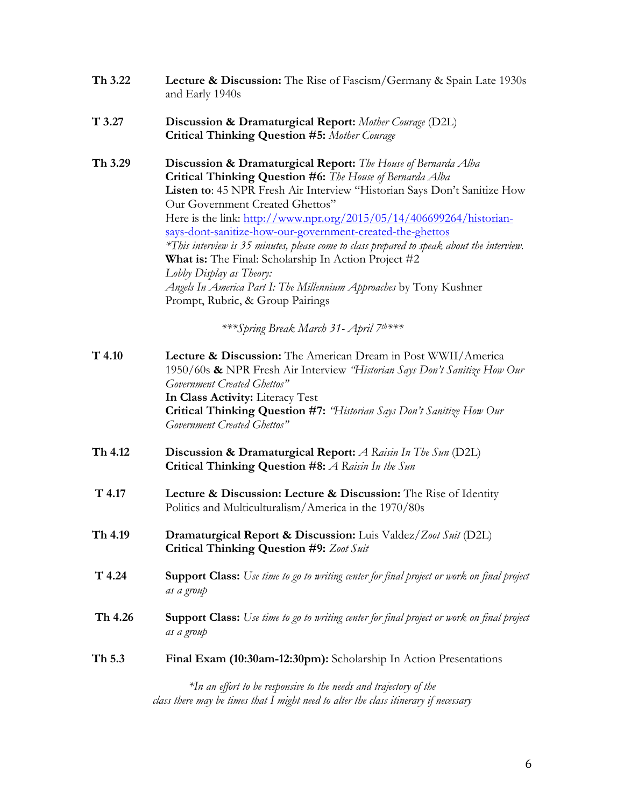| Th 3.22 | <b>Lecture &amp; Discussion:</b> The Rise of Fascism/Germany & Spain Late 1930s |
|---------|---------------------------------------------------------------------------------|
|         | and Early 1940s                                                                 |

- **T 3.27 Discussion & Dramaturgical Report:** *Mother Courage* (D2L) **Critical Thinking Question #5:** *Mother Courage*
- **Th 3.29 Discussion & Dramaturgical Report:** *The House of Bernarda Alba* **Critical Thinking Question #6:** *The House of Bernarda Alba* **Listen to**: 45 NPR Fresh Air Interview "Historian Says Don't Sanitize How Our Government Created Ghettos" Here is the link: http://www.npr.org/2015/05/14/406699264/historiansays-dont-sanitize-how-our-government-created-the-ghettos *\*This interview is 35 minutes, please come to class prepared to speak about the interview.*  **What is:** The Final: Scholarship In Action Project #2 *Lobby Display as Theory: Angels In America Part I: The Millennium Approaches* by Tony Kushner Prompt, Rubric, & Group Pairings

*\*\*\*Spring Break March 31- April 7th\*\*\**

- **T 4.10 Lecture & Discussion:** The American Dream in Post WWII/America 1950/60s **&** NPR Fresh Air Interview *"Historian Says Don't Sanitize How Our Government Created Ghettos"* **In Class Activity:** Literacy Test **Critical Thinking Question #7:** *"Historian Says Don't Sanitize How Our Government Created Ghettos"*
- **Th 4.12 Discussion & Dramaturgical Report:** *A Raisin In The Sun* (D2L) **Critical Thinking Question #8:** *A Raisin In the Sun*
- **T 4.17 Lecture & Discussion: Lecture & Discussion:** The Rise of Identity Politics and Multiculturalism/America in the 1970/80s
- **Th 4.19 Dramaturgical Report & Discussion:** Luis Valdez/*Zoot Suit* (D2L) **Critical Thinking Question #9:** *Zoot Suit*
- **T 4.24 Support Class:** *Use time to go to writing center for final project or work on final project as a group*
- **Th 4.26 Support Class:** *Use time to go to writing center for final project or work on final project as a group*
- **Th 5.3 Final Exam (10:30am-12:30pm):** Scholarship In Action Presentations

*\*In an effort to be responsive to the needs and trajectory of the class there may be times that I might need to alter the class itinerary if necessary*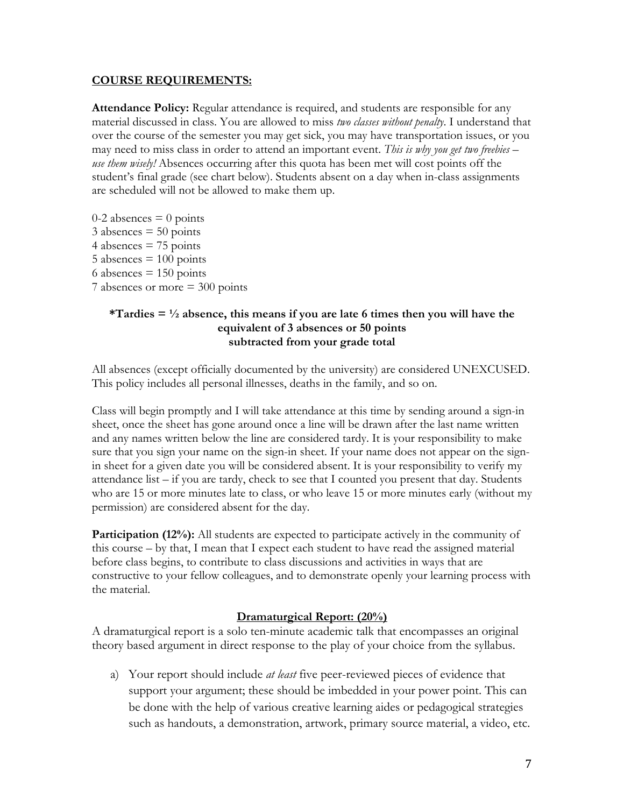### **COURSE REQUIREMENTS:**

**Attendance Policy:** Regular attendance is required, and students are responsible for any material discussed in class. You are allowed to miss *two classes without penalty*. I understand that over the course of the semester you may get sick, you may have transportation issues, or you may need to miss class in order to attend an important event. *This is why you get two freebies – use them wisely!* Absences occurring after this quota has been met will cost points off the student's final grade (see chart below). Students absent on a day when in-class assignments are scheduled will not be allowed to make them up.

 $0-2$  absences  $= 0$  points  $3$  absences  $= 50$  points  $4$  absences  $= 75$  points  $5$  absences  $= 100$  points 6 absences  $= 150$  points 7 absences or more = 300 points

### **\*Tardies = ½ absence, this means if you are late 6 times then you will have the equivalent of 3 absences or 50 points subtracted from your grade total**

All absences (except officially documented by the university) are considered UNEXCUSED. This policy includes all personal illnesses, deaths in the family, and so on.

Class will begin promptly and I will take attendance at this time by sending around a sign-in sheet, once the sheet has gone around once a line will be drawn after the last name written and any names written below the line are considered tardy. It is your responsibility to make sure that you sign your name on the sign-in sheet. If your name does not appear on the signin sheet for a given date you will be considered absent. It is your responsibility to verify my attendance list  $-$  if you are tardy, check to see that I counted you present that day. Students who are 15 or more minutes late to class, or who leave 15 or more minutes early (without my permission) are considered absent for the day.

**Participation (12%):** All students are expected to participate actively in the community of this course – by that, I mean that I expect each student to have read the assigned material before class begins, to contribute to class discussions and activities in ways that are constructive to your fellow colleagues, and to demonstrate openly your learning process with the material.

### **Dramaturgical Report: (20%)**

A dramaturgical report is a solo ten-minute academic talk that encompasses an original theory based argument in direct response to the play of your choice from the syllabus.

a) Your report should include *at least* five peer-reviewed pieces of evidence that support your argument; these should be imbedded in your power point. This can be done with the help of various creative learning aides or pedagogical strategies such as handouts, a demonstration, artwork, primary source material, a video, etc.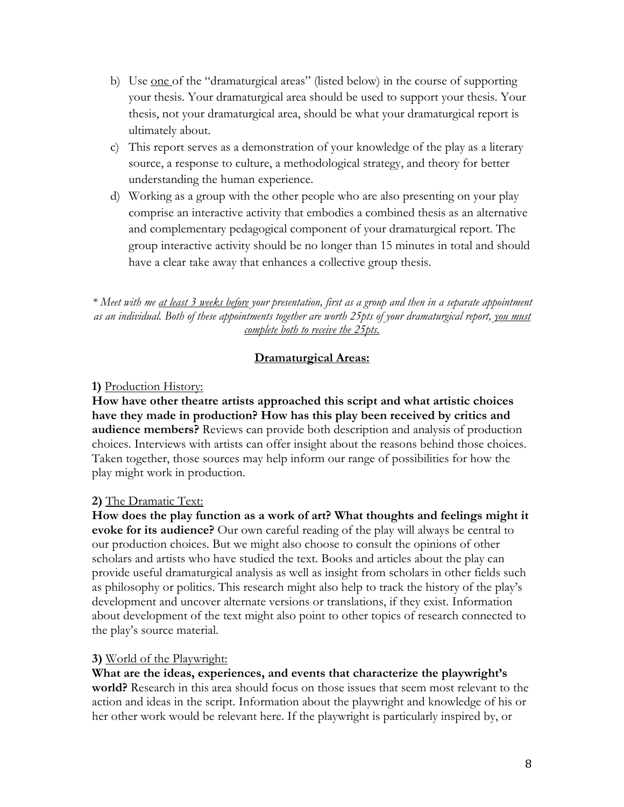- b) Use <u>one</u> of the "dramaturgical areas" (listed below) in the course of supporting your thesis. Your dramaturgical area should be used to support your thesis. Your thesis, not your dramaturgical area, should be what your dramaturgical report is ultimately about.
- c) This report serves as a demonstration of your knowledge of the play as a literary source, a response to culture, a methodological strategy, and theory for better understanding the human experience.
- d) Working as a group with the other people who are also presenting on your play comprise an interactive activity that embodies a combined thesis as an alternative and complementary pedagogical component of your dramaturgical report. The group interactive activity should be no longer than 15 minutes in total and should have a clear take away that enhances a collective group thesis.

*\* Meet with me at least 3 weeks before your presentation, first as a group and then in a separate appointment as an individual. Both of these appointments together are worth 25pts of your dramaturgical report, you must complete both to receive the 25pts.*

### **Dramaturgical Areas:**

### **1)** Production History:

**How have other theatre artists approached this script and what artistic choices have they made in production? How has this play been received by critics and audience members?** Reviews can provide both description and analysis of production choices. Interviews with artists can offer insight about the reasons behind those choices. Taken together, those sources may help inform our range of possibilities for how the play might work in production.

## **2)** The Dramatic Text:

**How does the play function as a work of art? What thoughts and feelings might it evoke for its audience?** Our own careful reading of the play will always be central to our production choices. But we might also choose to consult the opinions of other scholars and artists who have studied the text. Books and articles about the play can provide useful dramaturgical analysis as well as insight from scholars in other fields such as philosophy or politics. This research might also help to track the history of the play's development and uncover alternate versions or translations, if they exist. Information about development of the text might also point to other topics of research connected to the play's source material.

### **3)** World of the Playwright:

**What are the ideas, experiences, and events that characterize the playwright's world?** Research in this area should focus on those issues that seem most relevant to the action and ideas in the script. Information about the playwright and knowledge of his or her other work would be relevant here. If the playwright is particularly inspired by, or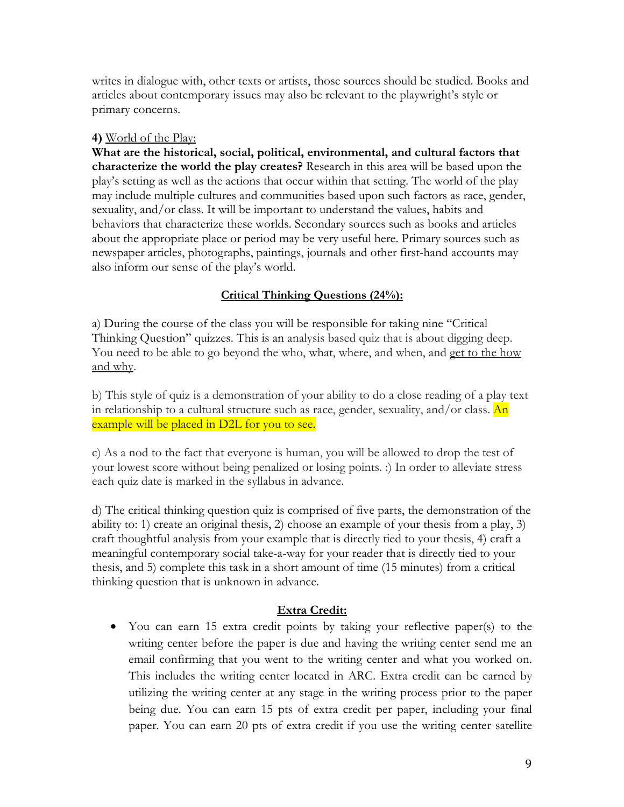writes in dialogue with, other texts or artists, those sources should be studied. Books and articles about contemporary issues may also be relevant to the playwright's style or primary concerns.

### **4)** World of the Play:

**What are the historical, social, political, environmental, and cultural factors that characterize the world the play creates?** Research in this area will be based upon the play's setting as well as the actions that occur within that setting. The world of the play may include multiple cultures and communities based upon such factors as race, gender, sexuality, and/or class. It will be important to understand the values, habits and behaviors that characterize these worlds. Secondary sources such as books and articles about the appropriate place or period may be very useful here. Primary sources such as newspaper articles, photographs, paintings, journals and other first-hand accounts may also inform our sense of the play's world.

## **Critical Thinking Questions (24%):**

a) During the course of the class you will be responsible for taking nine "Critical Thinking Question" quizzes. This is an analysis based quiz that is about digging deep. You need to be able to go beyond the who, what, where, and when, and get to the how and why.

b) This style of quiz is a demonstration of your ability to do a close reading of a play text in relationship to a cultural structure such as race, gender, sexuality, and/or class.  $An$ example will be placed in D2L for you to see.

c) As a nod to the fact that everyone is human, you will be allowed to drop the test of your lowest score without being penalized or losing points. :) In order to alleviate stress each quiz date is marked in the syllabus in advance.

d) The critical thinking question quiz is comprised of five parts, the demonstration of the ability to: 1) create an original thesis, 2) choose an example of your thesis from a play, 3) craft thoughtful analysis from your example that is directly tied to your thesis, 4) craft a meaningful contemporary social take-a-way for your reader that is directly tied to your thesis, and 5) complete this task in a short amount of time (15 minutes) from a critical thinking question that is unknown in advance.

## **Extra Credit:**

• You can earn 15 extra credit points by taking your reflective paper(s) to the writing center before the paper is due and having the writing center send me an email confirming that you went to the writing center and what you worked on. This includes the writing center located in ARC. Extra credit can be earned by utilizing the writing center at any stage in the writing process prior to the paper being due. You can earn 15 pts of extra credit per paper, including your final paper. You can earn 20 pts of extra credit if you use the writing center satellite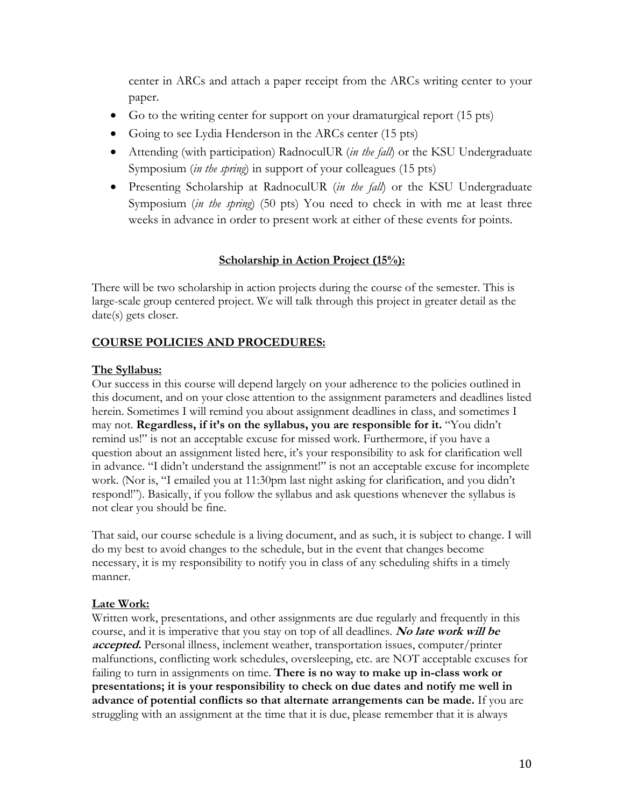center in ARCs and attach a paper receipt from the ARCs writing center to your paper.

- Go to the writing center for support on your dramaturgical report (15 pts)
- Going to see Lydia Henderson in the ARCs center (15 pts)
- Attending (with participation) RadnoculUR (*in the fall*) or the KSU Undergraduate Symposium (*in the spring*) in support of your colleagues (15 pts)
- Presenting Scholarship at RadnoculUR (*in the fall*) or the KSU Undergraduate Symposium (*in the spring*) (50 pts) You need to check in with me at least three weeks in advance in order to present work at either of these events for points.

### **Scholarship in Action Project (15%):**

There will be two scholarship in action projects during the course of the semester. This is large-scale group centered project. We will talk through this project in greater detail as the date(s) gets closer.

### **COURSE POLICIES AND PROCEDURES:**

### **The Syllabus:**

Our success in this course will depend largely on your adherence to the policies outlined in this document, and on your close attention to the assignment parameters and deadlines listed herein. Sometimes I will remind you about assignment deadlines in class, and sometimes I may not. **Regardless, if it's on the syllabus, you are responsible for it.** "You didn't remind us!" is not an acceptable excuse for missed work. Furthermore, if you have a question about an assignment listed here, it's your responsibility to ask for clarification well in advance. "I didn't understand the assignment!" is not an acceptable excuse for incomplete work. (Nor is, "I emailed you at 11:30pm last night asking for clarification, and you didn't respond!"). Basically, if you follow the syllabus and ask questions whenever the syllabus is not clear you should be fine.

That said, our course schedule is a living document, and as such, it is subject to change. I will do my best to avoid changes to the schedule, but in the event that changes become necessary, it is my responsibility to notify you in class of any scheduling shifts in a timely manner.

### **Late Work:**

Written work, presentations, and other assignments are due regularly and frequently in this course, and it is imperative that you stay on top of all deadlines. **No late work will be accepted.** Personal illness, inclement weather, transportation issues, computer/printer malfunctions, conflicting work schedules, oversleeping, etc. are NOT acceptable excuses for failing to turn in assignments on time. **There is no way to make up in-class work or presentations; it is your responsibility to check on due dates and notify me well in advance of potential conflicts so that alternate arrangements can be made.** If you are struggling with an assignment at the time that it is due, please remember that it is always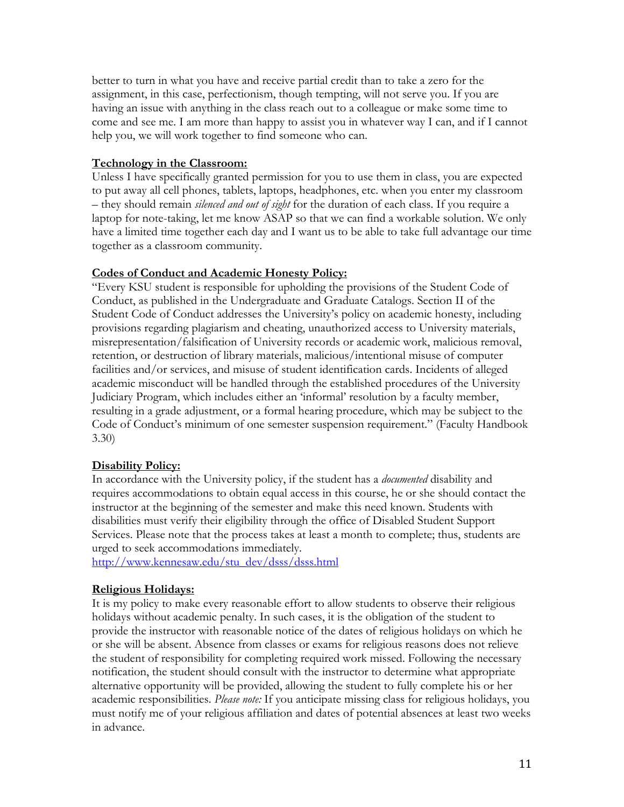better to turn in what you have and receive partial credit than to take a zero for the assignment, in this case, perfectionism, though tempting, will not serve you. If you are having an issue with anything in the class reach out to a colleague or make some time to come and see me. I am more than happy to assist you in whatever way I can, and if I cannot help you, we will work together to find someone who can.

### **Technology in the Classroom:**

Unless I have specifically granted permission for you to use them in class, you are expected to put away all cell phones, tablets, laptops, headphones, etc. when you enter my classroom – they should remain *silenced and out of sight* for the duration of each class. If you require a laptop for note-taking, let me know ASAP so that we can find a workable solution. We only have a limited time together each day and I want us to be able to take full advantage our time together as a classroom community.

### **Codes of Conduct and Academic Honesty Policy:**

"Every KSU student is responsible for upholding the provisions of the Student Code of Conduct, as published in the Undergraduate and Graduate Catalogs. Section II of the Student Code of Conduct addresses the University's policy on academic honesty, including provisions regarding plagiarism and cheating, unauthorized access to University materials, misrepresentation/falsification of University records or academic work, malicious removal, retention, or destruction of library materials, malicious/intentional misuse of computer facilities and/or services, and misuse of student identification cards. Incidents of alleged academic misconduct will be handled through the established procedures of the University Judiciary Program, which includes either an 'informal' resolution by a faculty member, resulting in a grade adjustment, or a formal hearing procedure, which may be subject to the Code of Conduct's minimum of one semester suspension requirement." (Faculty Handbook 3.30)

### **Disability Policy:**

In accordance with the University policy, if the student has a *documented* disability and requires accommodations to obtain equal access in this course, he or she should contact the instructor at the beginning of the semester and make this need known. Students with disabilities must verify their eligibility through the office of Disabled Student Support Services. Please note that the process takes at least a month to complete; thus, students are urged to seek accommodations immediately.

http://www.kennesaw.edu/stu\_dev/dsss/dsss.html

### **Religious Holidays:**

It is my policy to make every reasonable effort to allow students to observe their religious holidays without academic penalty. In such cases, it is the obligation of the student to provide the instructor with reasonable notice of the dates of religious holidays on which he or she will be absent. Absence from classes or exams for religious reasons does not relieve the student of responsibility for completing required work missed. Following the necessary notification, the student should consult with the instructor to determine what appropriate alternative opportunity will be provided, allowing the student to fully complete his or her academic responsibilities. *Please note:* If you anticipate missing class for religious holidays, you must notify me of your religious affiliation and dates of potential absences at least two weeks in advance.